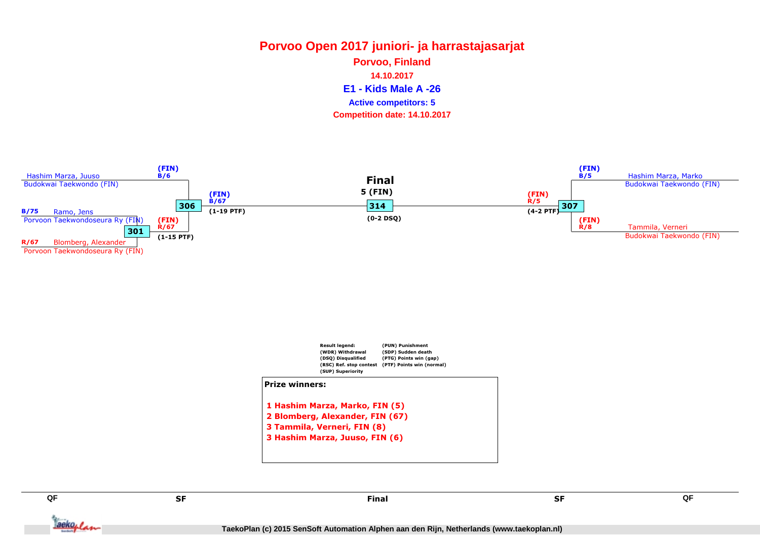## **Porvoo Open 2017 juniori- ja harrastajasarjatE1 - Kids Male A -26 Active competitors: 5Porvoo, Finland14.10.2017Competition date: 14.10.2017**





SF

Tackoplan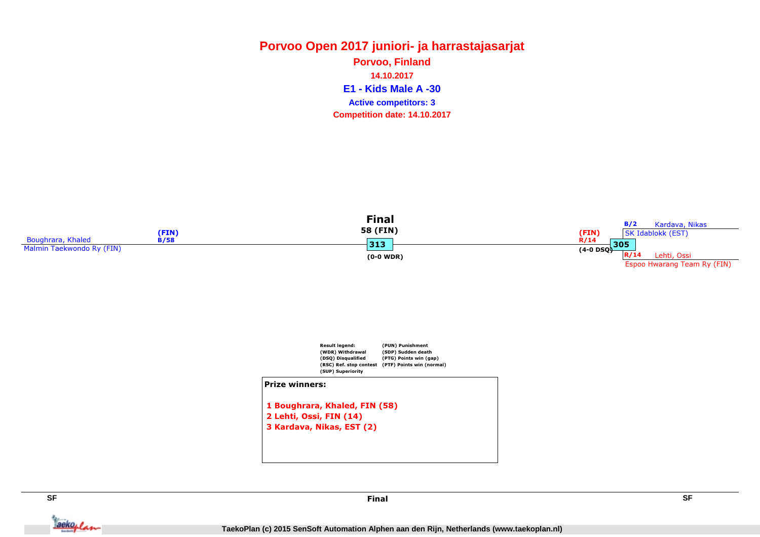**Porvoo Open 2017 juniori- ja harrastajasarjatE1 - Kids Male A -30 Active competitors: 3Porvoo, Finland14.10.2017Competition date: 14.10.2017**





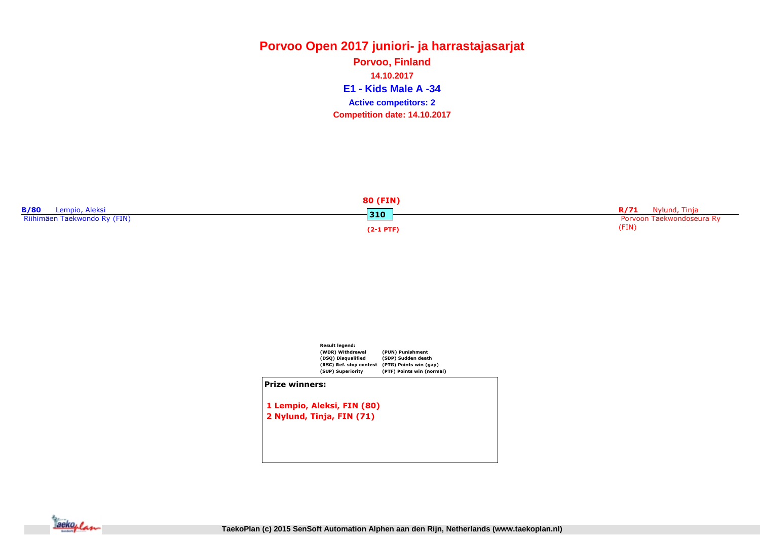**Porvoo Open 2017 juniori- ja harrastajasarjatE1 - Kids Male A -34 Active competitors: 2Porvoo, Finland14.10.2017Competition date: 14.10.2017**





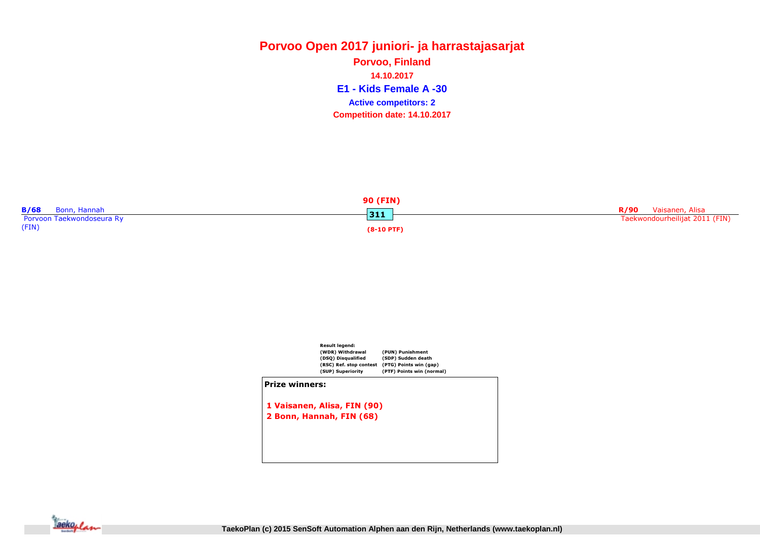**Porvoo Open 2017 juniori- ja harrastajasarjatE1 - Kids Female A -30 Porvoo, Finland14.10.2017Competition date: 14.10.2017 Active competitors: 2**





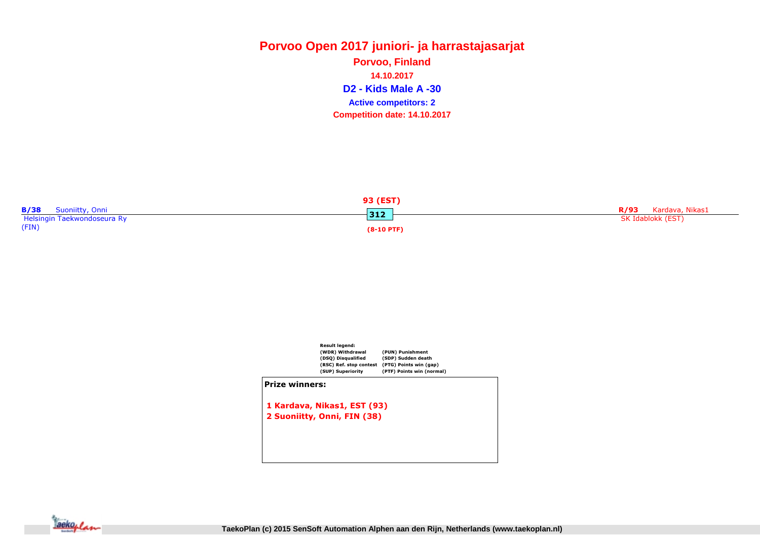**Porvoo Open 2017 juniori- ja harrastajasarjatD2 - Kids Male A -30 Active competitors: 2Porvoo, Finland14.10.2017Competition date: 14.10.2017**





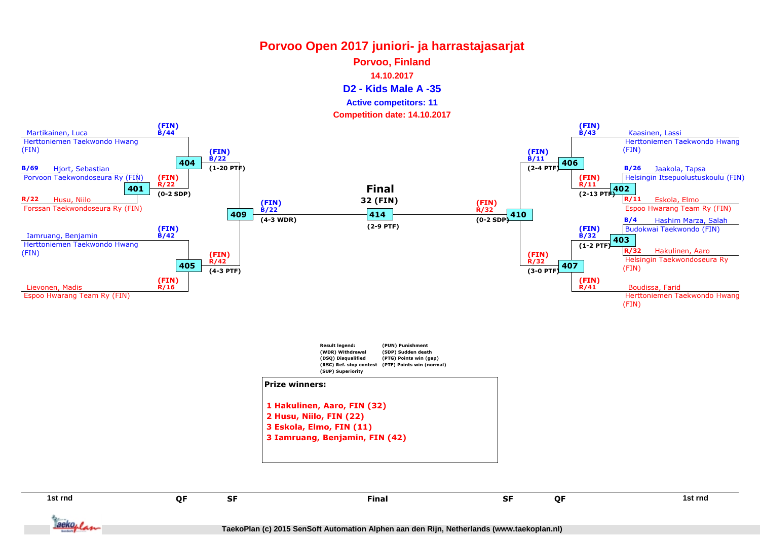# **Porvoo Open 2017 juniori- ja harrastajasarjat**

#### **Porvoo, Finland**

**14.10.2017**

**D2 - Kids Male A -35**

#### **Active competitors: 11**

**Competition date: 14.10.2017**



QF**SF** Finald
The **1st region of the CP** of the SF of the Material of the SF of the Material of the Material of the Material of the Material of the Material of the Material of the Material of the Material of the Material of the Materi F SF QF SF Jackoplan

**1st rnd**

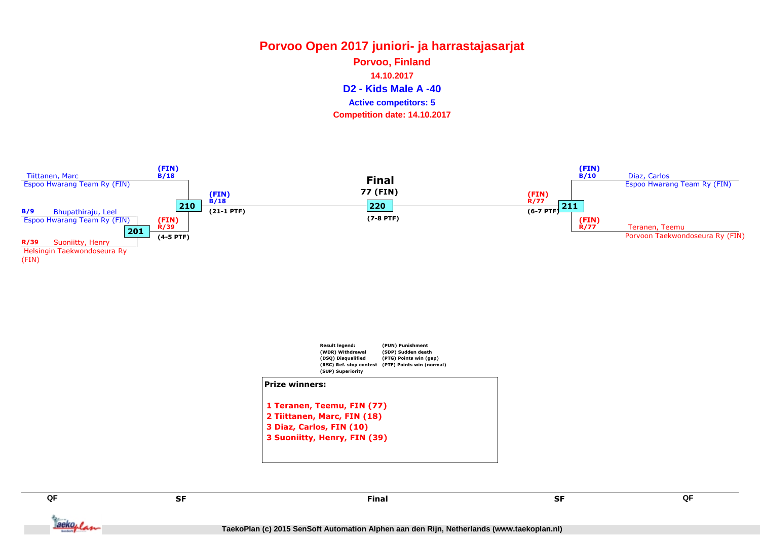## **Porvoo Open 2017 juniori- ja harrastajasarjatD2 - Kids Male A -40 Active competitors: 5Porvoo, Finland14.10.2017Competition date: 14.10.2017**





SF

**QF**

Taekoplan

**E** and **SF** and **CP** and **CP** and **CP** and **CP** and **CP** and **CP** and **CP** and **CP** and **CP** and **CP** and **CP Figure 1.1 September 1.1 September 1.1 September 1.1 September 1.1 September 1.1 September 1.1 September 1.1 September 1.1 September 1.1 September 1.1 September 1.1 September 1.1 September 1.1 September 1.1 September 1.1** Final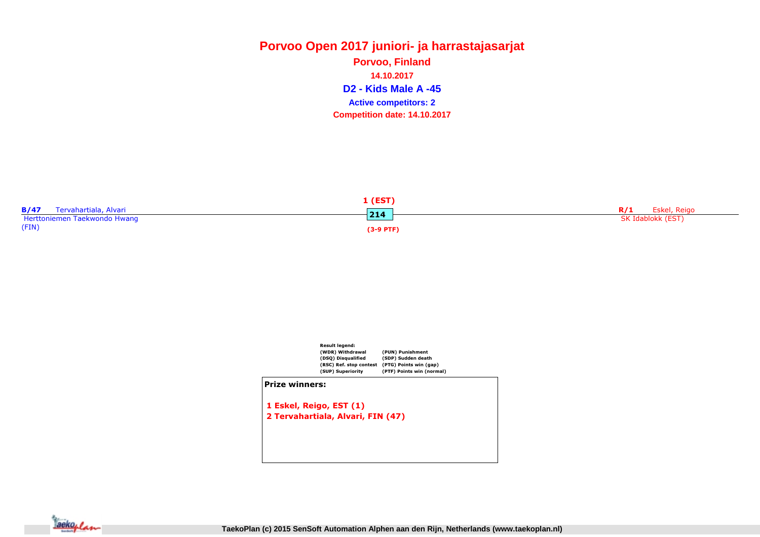**Porvoo Open 2017 juniori- ja harrastajasarjatD2 - Kids Male A -45 Active competitors: 2Porvoo, Finland14.10.2017Competition date: 14.10.2017**





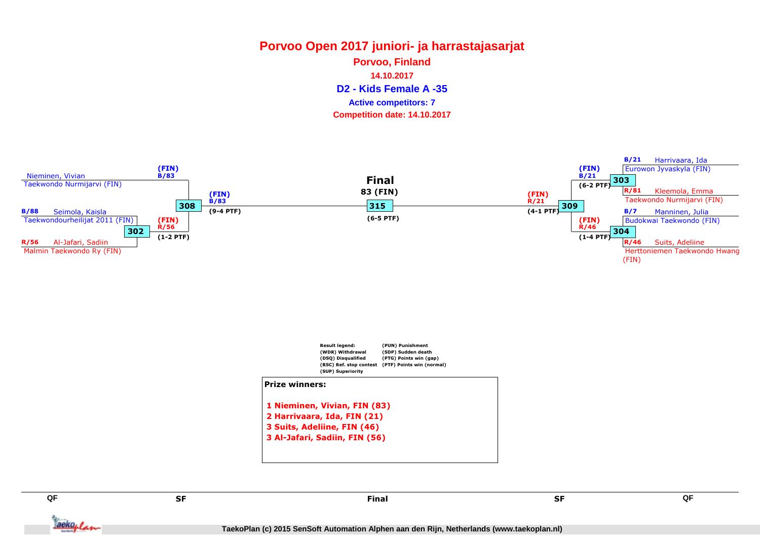### **Porvoo Open 2017 juniori- ja harrastajasarjatD2 - Kids Female A -35 Porvoo, Finland14.10.2017Competition date: 14.10.2017 Active competitors: 7**





SF

**QF**

Tackoplan

**E** and **SF** and **CP** and **CP** and **CP** and **CP** and **CP** and **CP** and **CP** and **CP** and **CP** and **CP** and **CP Figure 1.1 September 1.1 September 1.1 September 1.1 September 1.1 September 1.1 September 1.1 September 1.1 September 1.1 September 1.1 September 1.1 September 1.1 September 1.1 September 1.1 September 1.1 September 1.1** Final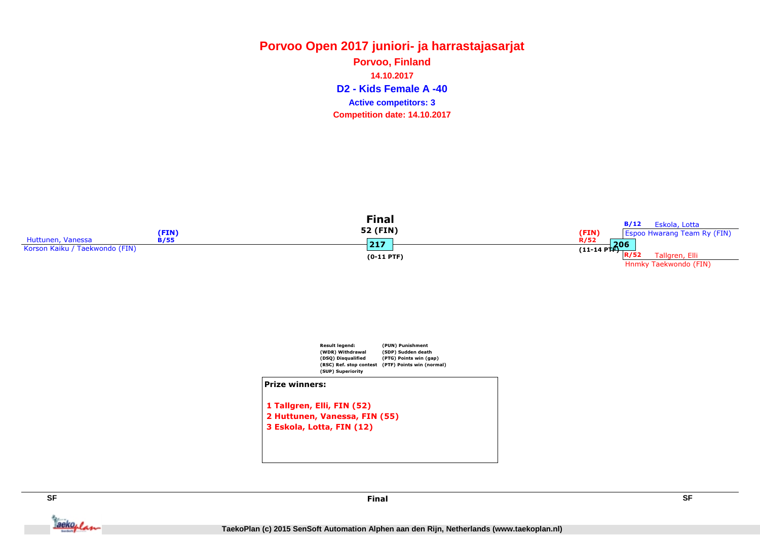**Porvoo Open 2017 juniori- ja harrastajasarjatD2 - Kids Female A -40 Porvoo, Finland14.10.2017Competition date: 14.10.2017 Active competitors: 3**





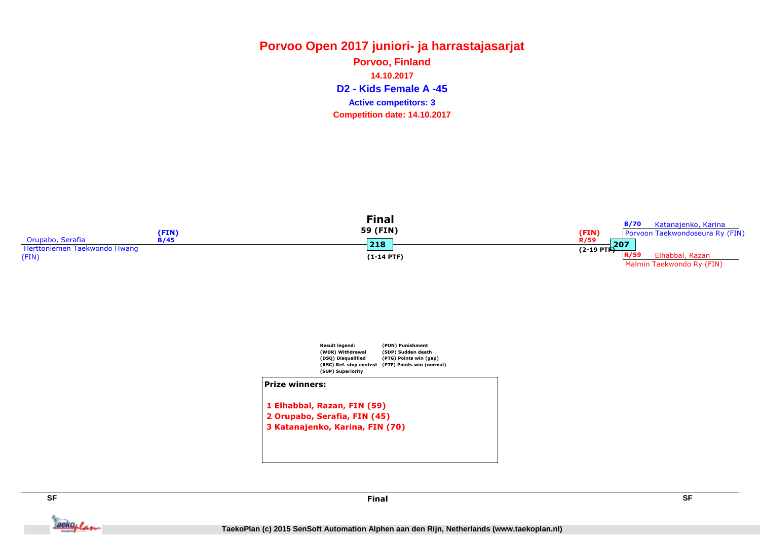**Porvoo Open 2017 juniori- ja harrastajasarjatD2 - Kids Female A -45 Porvoo, Finland14.10.2017Competition date: 14.10.2017 Active competitors: 3**





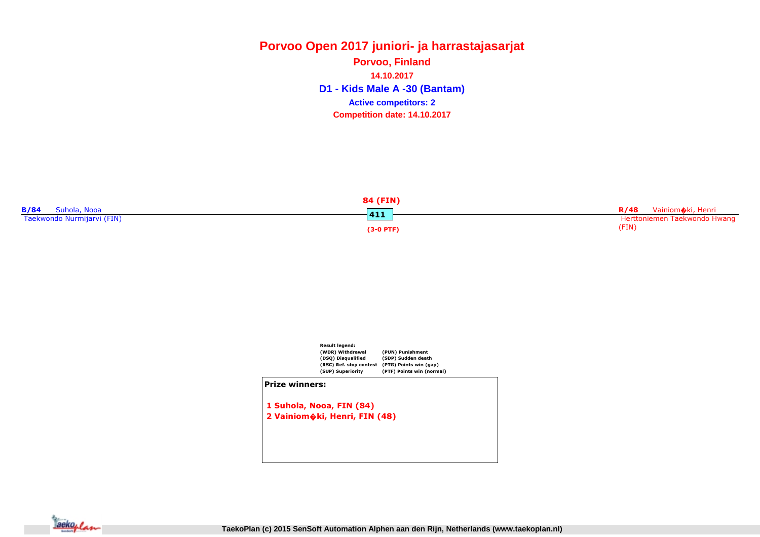**Porvoo Open 2017 juniori- ja harrastajasarjatD1 - Kids Male A -30 (Bantam) Porvoo, Finland14.10.2017Competition date: 14.10.2017 Active competitors: 2**





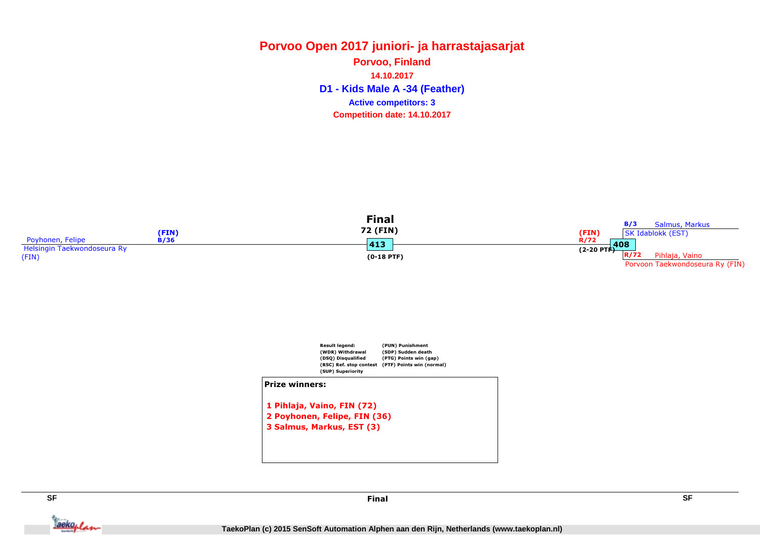**Porvoo Open 2017 juniori- ja harrastajasarjatD1 - Kids Male A -34 (Feather) Porvoo, Finland14.10.2017Competition date: 14.10.2017 Active competitors: 3**





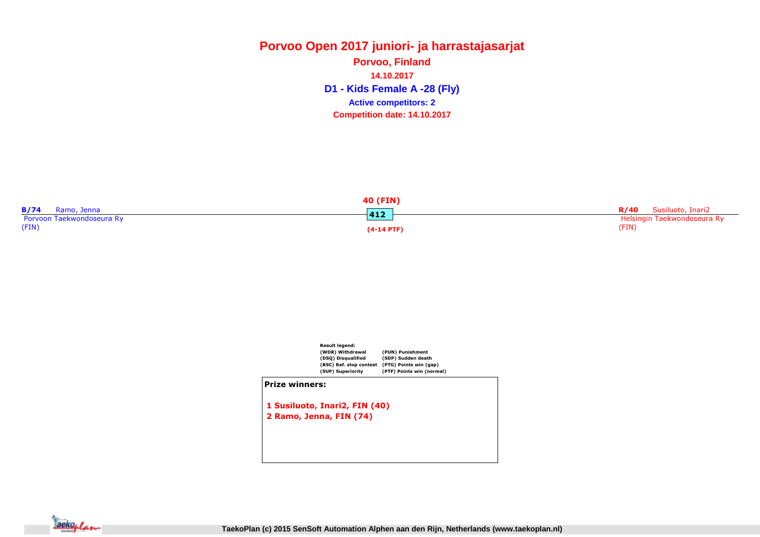**Porvoo Open 2017 juniori- ja harrastajasarjatD1 - Kids Female A -28 (Fly) Porvoo, Finland14.10.2017Competition date: 14.10.2017 Active competitors: 2**

| <b>40 (FIN)</b>            |              |                               |  |
|----------------------------|--------------|-------------------------------|--|
| <b>B/74</b><br>Ramo, Jenna | 412          | <b>R/40</b> Susiluoto, Inari2 |  |
| Porvoon Taekwondoseura Ry  |              | Helsingin Taekwondoseura Ry   |  |
| (FIN)                      | $(4-14$ PTF) | (FIN)                         |  |



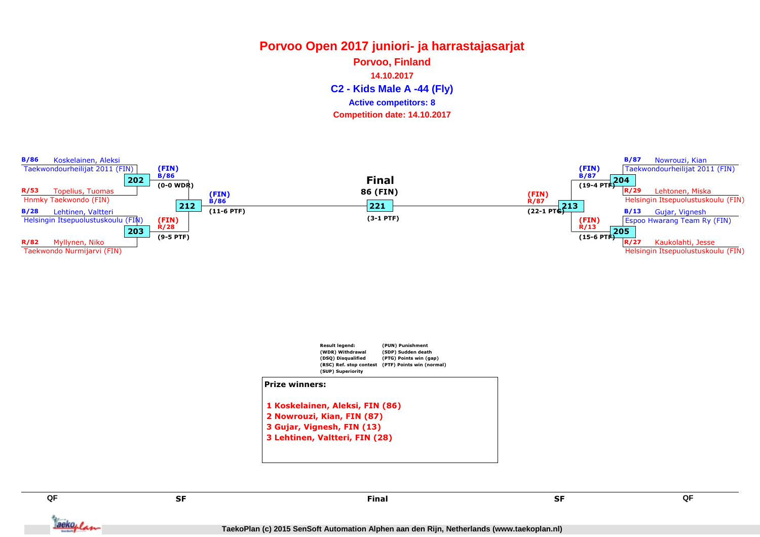## **Porvoo Open 2017 juniori- ja harrastajasarjatC2 - Kids Male A -44 (Fly) Porvoo, Finland14.10.2017Competition date: 14.10.2017 Active competitors: 8**





SF

Jackoplan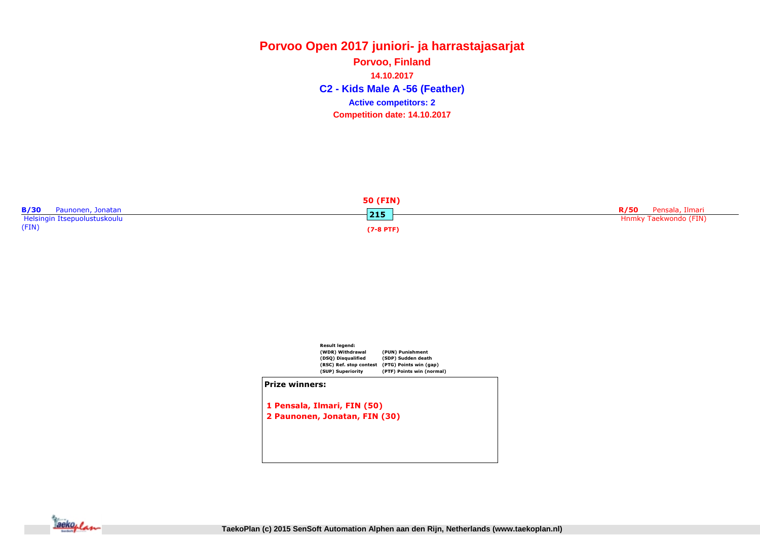**Porvoo Open 2017 juniori- ja harrastajasarjatC2 - Kids Male A -56 (Feather) Porvoo, Finland14.10.2017Competition date: 14.10.2017 Active competitors: 2**





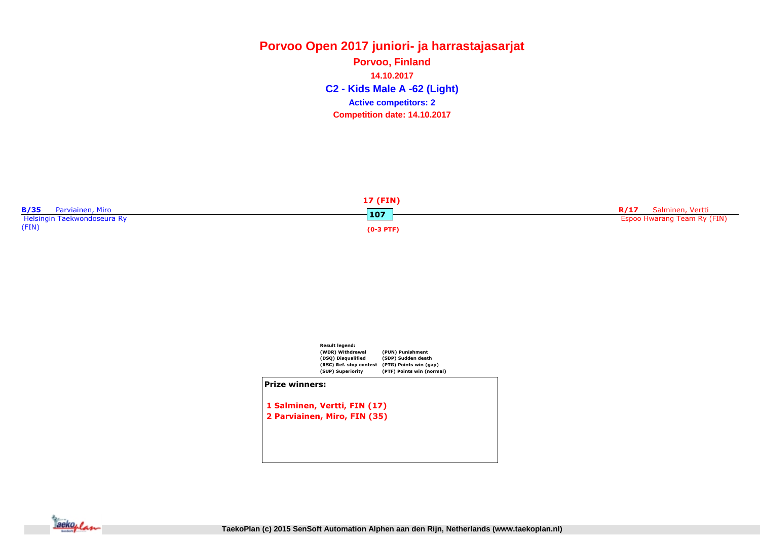**Porvoo Open 2017 juniori- ja harrastajasarjatC2 - Kids Male A -62 (Light) Porvoo, Finland14.10.2017Competition date: 14.10.2017 Active competitors: 2**





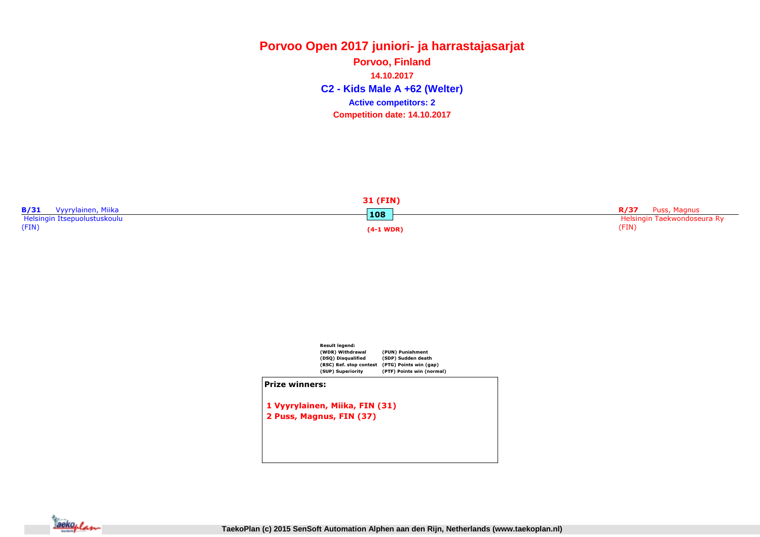**Porvoo Open 2017 juniori- ja harrastajasarjatC2 - Kids Male A +62 (Welter) Porvoo, Finland14.10.2017Competition date: 14.10.2017 Active competitors: 2**

| 31 (FIN)                     |           |                             |  |
|------------------------------|-----------|-----------------------------|--|
| B/31<br>Vyyrylainen, Miika   | 108       | Puss, Magnus<br>R/37        |  |
| Helsingin Itsepuolustuskoulu |           | Pelsingin Taekwondoseura R. |  |
| (FIN)                        | (4-1 WDR) | 'FIN)                       |  |



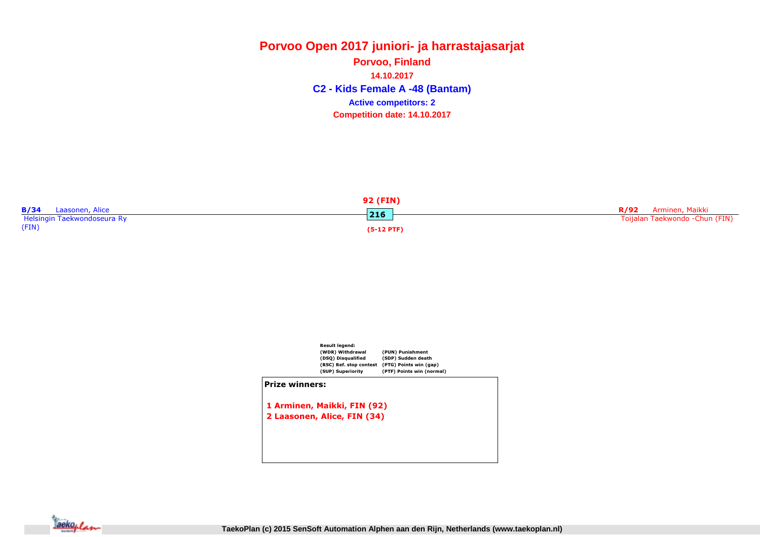**Porvoo Open 2017 juniori- ja harrastajasarjatC2 - Kids Female A -48 (Bantam) Porvoo, Finland14.10.2017Competition date: 14.10.2017 Active competitors: 2**





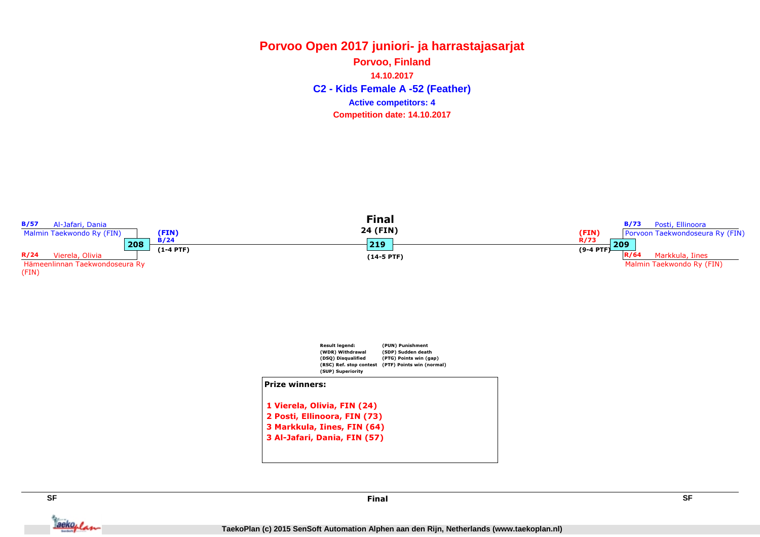**Porvoo Open 2017 juniori- ja harrastajasarjatC2 - Kids Female A -52 (Feather) Porvoo, Finland14.10.2017Competition date: 14.10.2017 Active competitors: 4**





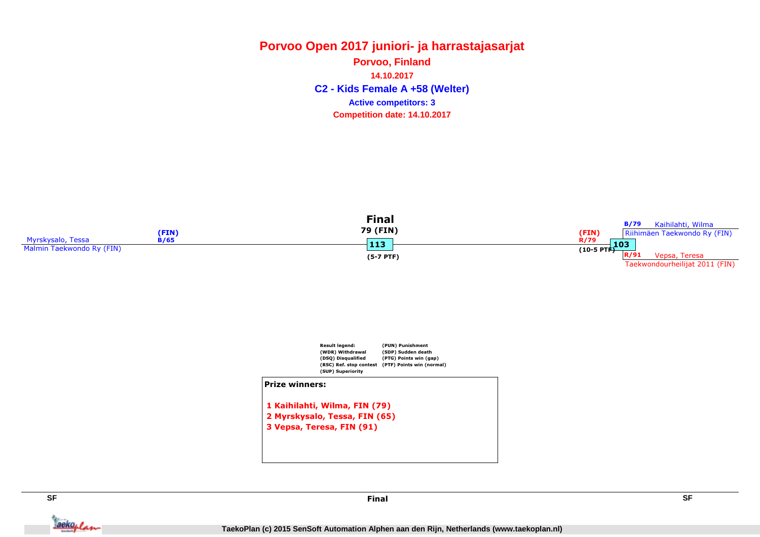**Porvoo Open 2017 juniori- ja harrastajasarjatC2 - Kids Female A +58 (Welter) Porvoo, Finland14.10.2017Competition date: 14.10.2017 Active competitors: 3**





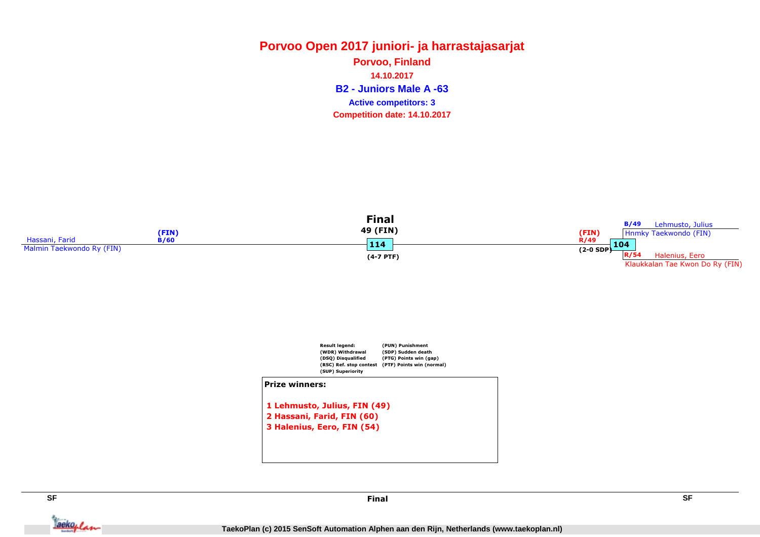**Porvoo Open 2017 juniori- ja harrastajasarjatB2 - Juniors Male A -63 Porvoo, Finland14.10.2017Competition date: 14.10.2017 Active competitors: 3**





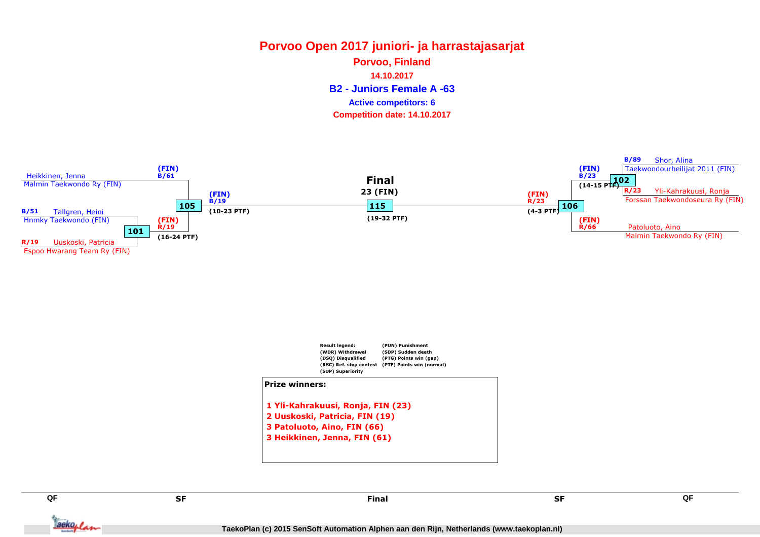### **Porvoo Open 2017 juniori- ja harrastajasarjatB2 - Juniors Female A -63 Porvoo, Finland14.10.2017Competition date: 14.10.2017 Active competitors: 6**





SF

**QF**

Tackoplan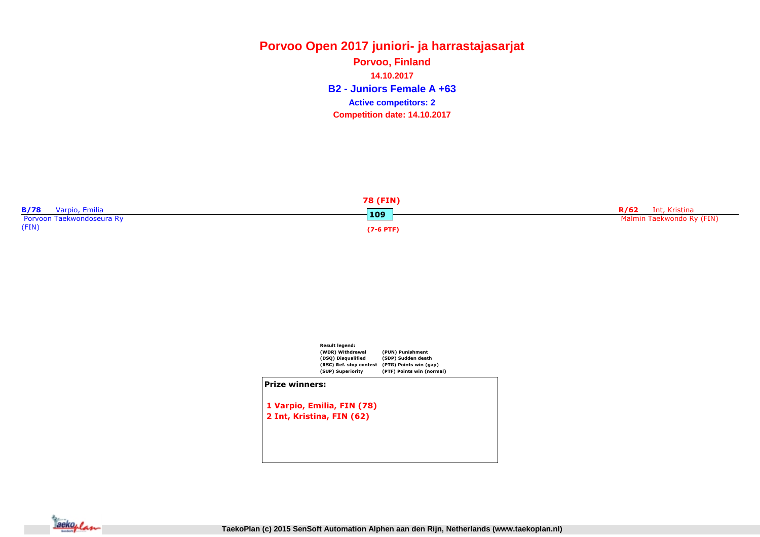**Porvoo Open 2017 juniori- ja harrastajasarjatB2 - Juniors Female A +63 Porvoo, Finland14.10.2017Competition date: 14.10.2017 Active competitors: 2**





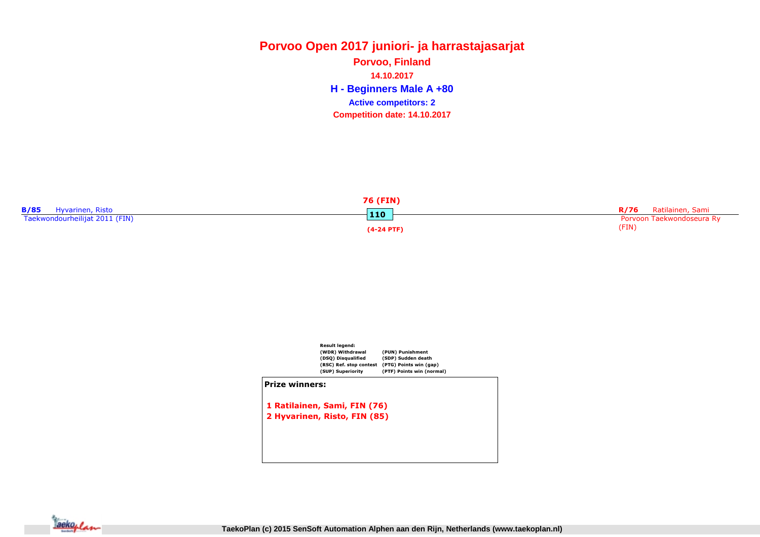**Porvoo Open 2017 juniori- ja harrastajasarjatH - Beginners Male A +80 Porvoo, Finland14.10.2017Competition date: 14.10.2017 Active competitors: 2**





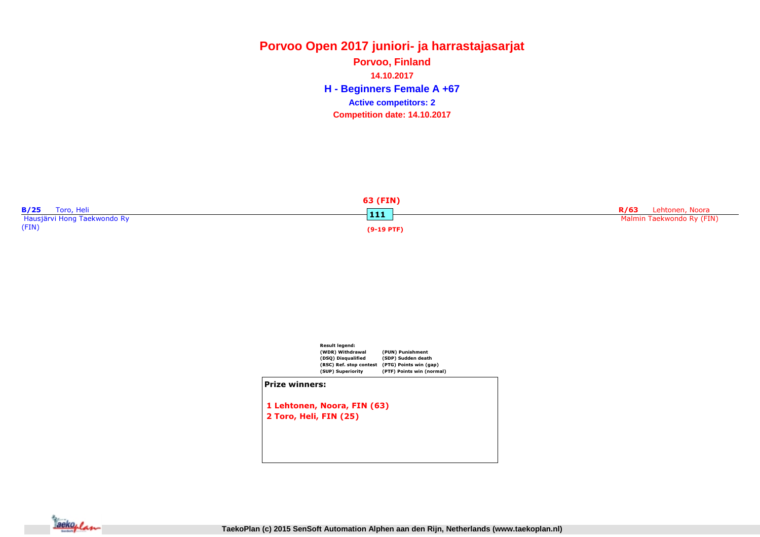**Porvoo Open 2017 juniori- ja harrastajasarjatH - Beginners Female A +67 Porvoo, Finland14.10.2017Competition date: 14.10.2017 Active competitors: 2**